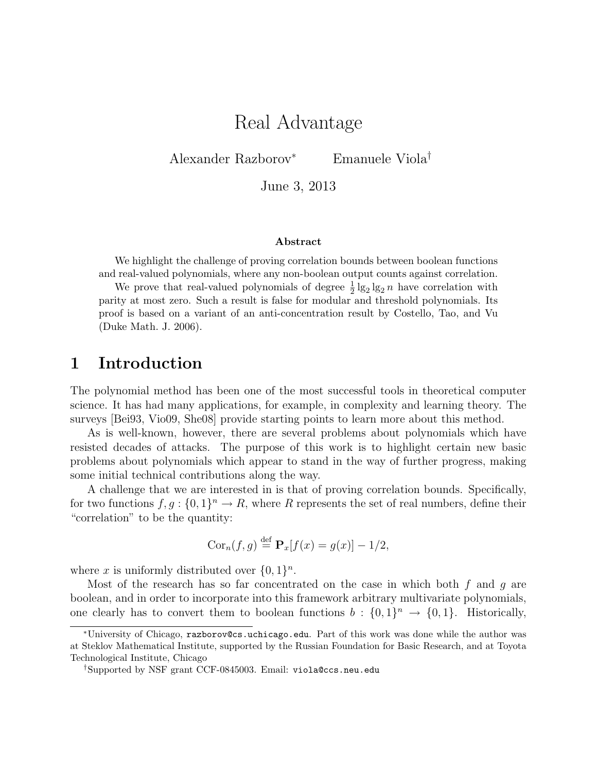# Real Advantage

Alexander Razborov<sup>∗</sup> Emanuele Viola†

June 3, 2013

#### Abstract

We highlight the challenge of proving correlation bounds between boolean functions and real-valued polynomials, where any non-boolean output counts against correlation.

We prove that real-valued polynomials of degree  $\frac{1}{2} \lg_2 \lg_2 n$  have correlation with parity at most zero. Such a result is false for modular and threshold polynomials. Its proof is based on a variant of an anti-concentration result by Costello, Tao, and Vu (Duke Math. J. 2006).

#### 1 Introduction

The polynomial method has been one of the most successful tools in theoretical computer science. It has had many applications, for example, in complexity and learning theory. The surveys [Bei93, Vio09, She08] provide starting points to learn more about this method.

As is well-known, however, there are several problems about polynomials which have resisted decades of attacks. The purpose of this work is to highlight certain new basic problems about polynomials which appear to stand in the way of further progress, making some initial technical contributions along the way.

A challenge that we are interested in is that of proving correlation bounds. Specifically, for two functions  $f, g: \{0,1\}^n \to R$ , where R represents the set of real numbers, define their "correlation" to be the quantity:

$$
Cor_n(f, g) \stackrel{\text{def}}{=} \mathbf{P}_x[f(x) = g(x)] - 1/2,
$$

where x is uniformly distributed over  $\{0,1\}^n$ .

Most of the research has so far concentrated on the case in which both  $f$  and  $q$  are boolean, and in order to incorporate into this framework arbitrary multivariate polynomials, one clearly has to convert them to boolean functions  $b: \{0,1\}^n \to \{0,1\}$ . Historically,

<sup>∗</sup>University of Chicago, razborov@cs.uchicago.edu. Part of this work was done while the author was at Steklov Mathematical Institute, supported by the Russian Foundation for Basic Research, and at Toyota Technological Institute, Chicago

<sup>†</sup>Supported by NSF grant CCF-0845003. Email: viola@ccs.neu.edu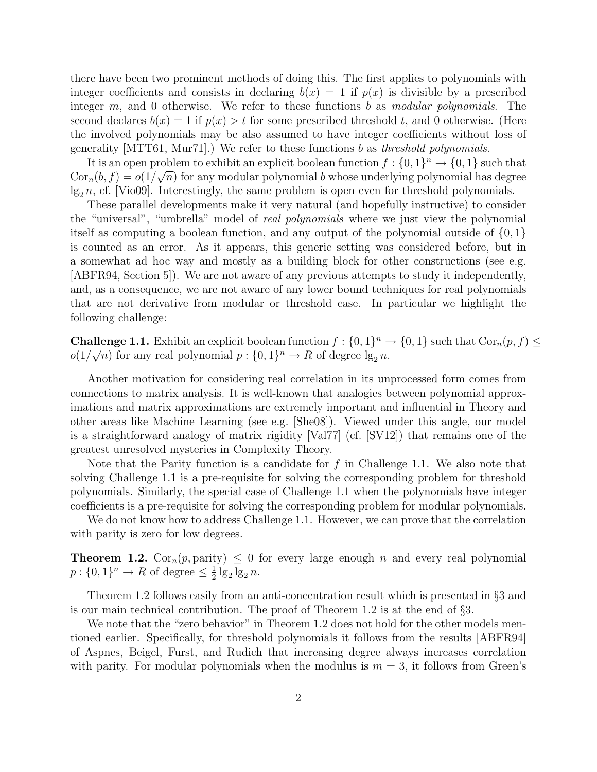there have been two prominent methods of doing this. The first applies to polynomials with integer coefficients and consists in declaring  $b(x) = 1$  if  $p(x)$  is divisible by a prescribed integer  $m$ , and 0 otherwise. We refer to these functions  $b$  as modular polynomials. The second declares  $b(x) = 1$  if  $p(x) > t$  for some prescribed threshold t, and 0 otherwise. (Here the involved polynomials may be also assumed to have integer coefficients without loss of generality  $\text{MTT61}, \text{Mur71}.$  We refer to these functions b as threshold polynomials.

It is an open problem to exhibit an explicit boolean function  $f: \{0,1\}^n \to \{0,1\}$  such that  $Cor_n(b, f) = o(1/\sqrt{n})$  for any modular polynomial b whose underlying polynomial has degree  $\lg_2 n$ , cf. [Vio09]. Interestingly, the same problem is open even for threshold polynomials.

These parallel developments make it very natural (and hopefully instructive) to consider the "universal", "umbrella" model of real polynomials where we just view the polynomial itself as computing a boolean function, and any output of the polynomial outside of  $\{0, 1\}$ is counted as an error. As it appears, this generic setting was considered before, but in a somewhat ad hoc way and mostly as a building block for other constructions (see e.g. [ABFR94, Section 5]). We are not aware of any previous attempts to study it independently, and, as a consequence, we are not aware of any lower bound techniques for real polynomials that are not derivative from modular or threshold case. In particular we highlight the following challenge:

**Challenge 1.1.** Exhibit an explicit boolean function  $f : \{0,1\}^n \to \{0,1\}$  such that  $Cor_n(p, f) \le$  $o(1/\sqrt{n})$  for any real polynomial  $p: \{0,1\}^n \to R$  of degree  $\lg_2 n$ .

Another motivation for considering real correlation in its unprocessed form comes from connections to matrix analysis. It is well-known that analogies between polynomial approximations and matrix approximations are extremely important and influential in Theory and other areas like Machine Learning (see e.g. [She08]). Viewed under this angle, our model is a straightforward analogy of matrix rigidity [Val77] (cf. [SV12]) that remains one of the greatest unresolved mysteries in Complexity Theory.

Note that the Parity function is a candidate for  $f$  in Challenge 1.1. We also note that solving Challenge 1.1 is a pre-requisite for solving the corresponding problem for threshold polynomials. Similarly, the special case of Challenge 1.1 when the polynomials have integer coefficients is a pre-requisite for solving the corresponding problem for modular polynomials.

We do not know how to address Challenge 1.1. However, we can prove that the correlation with parity is zero for low degrees.

**Theorem 1.2.** Cor<sub>n</sub> $(p,$  parity)  $\leq 0$  for every large enough n and every real polynomial  $p: \{0,1\}^n \to R$  of degree  $\leq \frac{1}{2}$  $\frac{1}{2}$  lg<sub>2</sub> lg<sub>2</sub> n.

Theorem 1.2 follows easily from an anti-concentration result which is presented in §3 and is our main technical contribution. The proof of Theorem 1.2 is at the end of §3.

We note that the "zero behavior" in Theorem 1.2 does not hold for the other models mentioned earlier. Specifically, for threshold polynomials it follows from the results [ABFR94] of Aspnes, Beigel, Furst, and Rudich that increasing degree always increases correlation with parity. For modular polynomials when the modulus is  $m = 3$ , it follows from Green's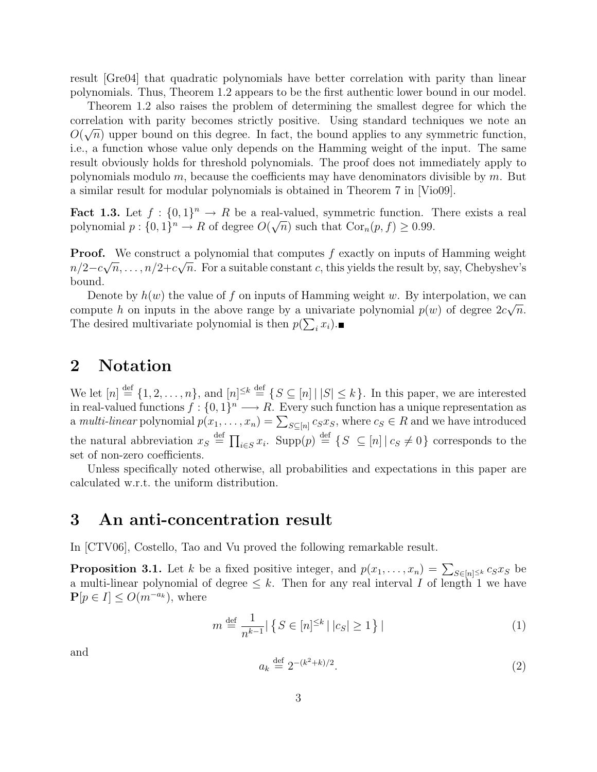result [Gre04] that quadratic polynomials have better correlation with parity than linear polynomials. Thus, Theorem 1.2 appears to be the first authentic lower bound in our model.

Theorem 1.2 also raises the problem of determining the smallest degree for which the correlation with parity becomes strictly positive. Using standard techniques we note an  $\alpha(\sqrt{n})$  $O(\sqrt{n})$  upper bound on this degree. In fact, the bound applies to any symmetric function, i.e., a function whose value only depends on the Hamming weight of the input. The same result obviously holds for threshold polynomials. The proof does not immediately apply to polynomials modulo  $m$ , because the coefficients may have denominators divisible by  $m$ . But a similar result for modular polynomials is obtained in Theorem 7 in [Vio09].

Fact 1.3. Let  $f : \{0,1\}^n \to R$  be a real-valued, symmetric function. There exists a real polynomial  $p: \{0,1\}^n \to R$  of degree  $O(\sqrt{n})$  such that  $Cor_n(p, f) \ge 0.99$ .

**Proof.** We construct a polynomial that computes f exactly on inputs of Hamming weight  $n/2 - c\sqrt{n}, \ldots, n/2 + c\sqrt{n}$ . For a suitable constant c, this yields the result by, say, Chebyshev's bound.

Denote by  $h(w)$  the value of f on inputs of Hamming weight w. By interpolation, we can compute h on inputs in the above range by a univariate polynomial  $p(w)$  of degree  $2c\sqrt{n}$ . The desired multivariate polynomial is then  $p(\sum_i x_i)$ .

## 2 Notation

We let  $[n] \stackrel{\text{def}}{=} \{1, 2, \ldots, n\}$ , and  $[n]^{\leq k} \stackrel{\text{def}}{=} \{S \subseteq [n] \mid |S| \leq k\}$ . In this paper, we are interested in real-valued functions  $f: \{0,1\}^n \longrightarrow R$ . Every such function has a unique representation as a multi-linear polynomial  $p(x_1, \ldots, x_n) = \sum_{S \subseteq [n]} c_S x_S$ , where  $c_S \in R$  and we have introduced the natural abbreviation  $x_S \stackrel{\text{def}}{=} \prod_{i \in S} x_i$ . Supp $(p) \stackrel{\text{def}}{=} \{ S \subseteq [n] | c_S \neq 0 \}$  corresponds to the set of non-zero coefficients.

Unless specifically noted otherwise, all probabilities and expectations in this paper are calculated w.r.t. the uniform distribution.

#### 3 An anti-concentration result

In [CTV06], Costello, Tao and Vu proved the following remarkable result.

**Proposition 3.1.** Let k be a fixed positive integer, and  $p(x_1, \ldots, x_n) = \sum_{S \in [n]^{\leq k}} c_S x_S$  be a multi-linear polynomial of degree  $\leq k$ . Then for any real interval I of length 1 we have  $\mathbf{P}[p \in I] \leq O(m^{-a_k})$ , where

$$
m \stackrel{\text{def}}{=} \frac{1}{n^{k-1}} | \{ S \in [n]^{\le k} \mid |c_S| \ge 1 \} |
$$
 (1)

and

$$
a_k \stackrel{\text{def}}{=} 2^{-(k^2+k)/2}.\tag{2}
$$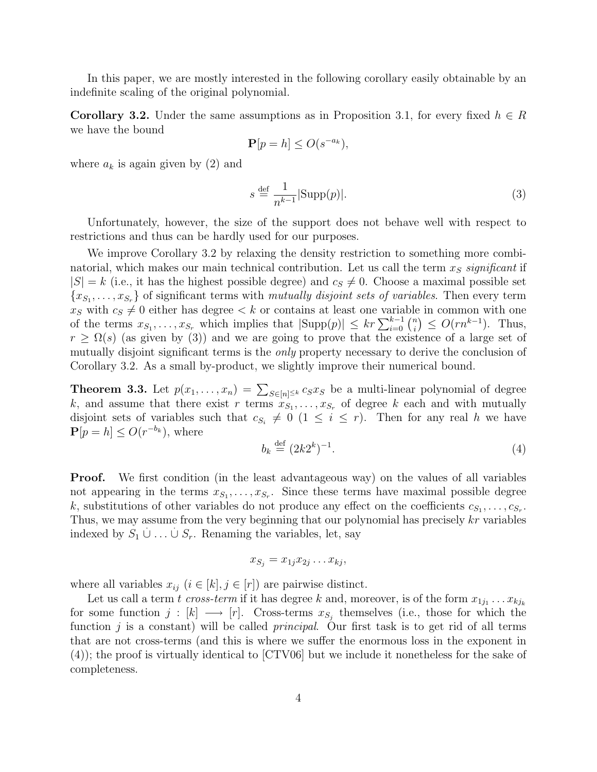In this paper, we are mostly interested in the following corollary easily obtainable by an indefinite scaling of the original polynomial.

**Corollary 3.2.** Under the same assumptions as in Proposition 3.1, for every fixed  $h \in R$ we have the bound

$$
\mathbf{P}[p=h] \le O(s^{-a_k}),
$$

where  $a_k$  is again given by (2) and

$$
s \stackrel{\text{def}}{=} \frac{1}{n^{k-1}} |\text{Supp}(p)|. \tag{3}
$$

Unfortunately, however, the size of the support does not behave well with respect to restrictions and thus can be hardly used for our purposes.

We improve Corollary 3.2 by relaxing the density restriction to something more combinatorial, which makes our main technical contribution. Let us call the term  $x<sub>S</sub>$  significant if  $|S| = k$  (i.e., it has the highest possible degree) and  $c_s \neq 0$ . Choose a maximal possible set  ${x_{S_1}, \ldots, x_{S_r}}$  of significant terms with *mutually disjoint sets of variables*. Then every term  $x_S$  with  $c_S \neq 0$  either has degree  $\lt k$  or contains at least one variable in common with one of the terms  $x_{S_1}, \ldots, x_{S_r}$  which implies that  $|\text{Supp}(p)| \le kr \sum_{i=0}^{k-1} {n \choose i}$  $\binom{n}{i} \leq O(rn^{k-1})$ . Thus,  $r \geq \Omega(s)$  (as given by (3)) and we are going to prove that the existence of a large set of mutually disjoint significant terms is the *only* property necessary to derive the conclusion of Corollary 3.2. As a small by-product, we slightly improve their numerical bound.

**Theorem 3.3.** Let  $p(x_1, \ldots, x_n) = \sum_{S \in [n] \leq k} c_S x_S$  be a multi-linear polynomial of degree k, and assume that there exist r terms  $x_{S_1}, \ldots, x_{S_r}$  of degree k each and with mutually disjoint sets of variables such that  $c_{S_i} \neq 0$  ( $1 \leq i \leq r$ ). Then for any real h we have  $\mathbf{P}[p=h] \leq O(r^{-b_k})$ , where

$$
b_k \stackrel{\text{def}}{=} (2k2^k)^{-1}.\tag{4}
$$

**Proof.** We first condition (in the least advantageous way) on the values of all variables not appearing in the terms  $x_{S_1}, \ldots, x_{S_r}$ . Since these terms have maximal possible degree k, substitutions of other variables do not produce any effect on the coefficients  $c_{S_1}, \ldots, c_{S_r}$ . Thus, we may assume from the very beginning that our polynomial has precisely  $kr$  variables indexed by  $S_1 \cup \ldots \cup S_r$ . Renaming the variables, let, say

$$
x_{S_j} = x_{1j} x_{2j} \dots x_{kj},
$$

where all variables  $x_{ij}$   $(i \in [k], j \in [r])$  are pairwise distinct.

Let us call a term t cross-term if it has degree k and, moreover, is of the form  $x_{1j_1} \ldots x_{kj_k}$ for some function  $j : [k] \longrightarrow [r]$ . Cross-terms  $x_{S_j}$  themselves (i.e., those for which the function  $j$  is a constant) will be called *principal*. Our first task is to get rid of all terms that are not cross-terms (and this is where we suffer the enormous loss in the exponent in (4)); the proof is virtually identical to [CTV06] but we include it nonetheless for the sake of completeness.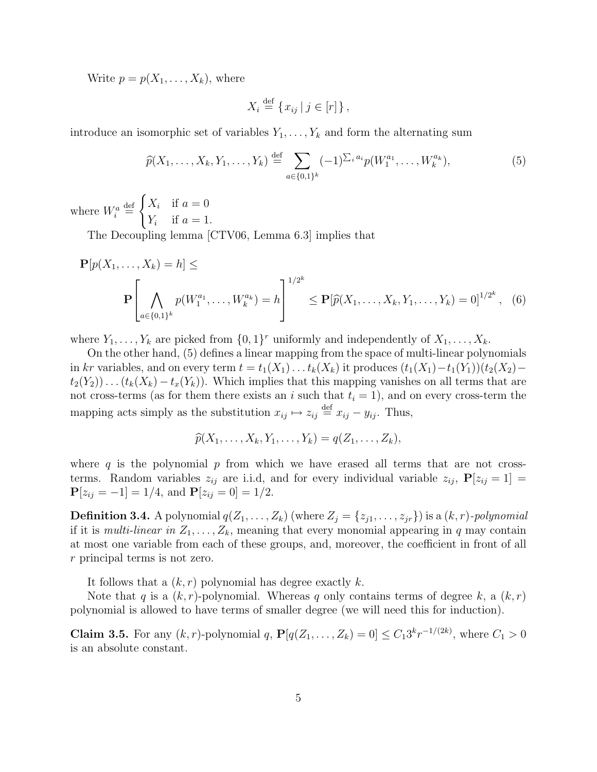Write  $p = p(X_1, \ldots, X_k)$ , where

$$
X_i \stackrel{\text{def}}{=} \{x_{ij} \mid j \in [r]\},\
$$

introduce an isomorphic set of variables  $Y_1, \ldots, Y_k$  and form the alternating sum

$$
\widehat{p}(X_1, \ldots, X_k, Y_1, \ldots, Y_k) \stackrel{\text{def}}{=} \sum_{a \in \{0, 1\}^k} (-1)^{\sum_i a_i} p(W_1^{a_1}, \ldots, W_k^{a_k}), \tag{5}
$$

where  $W_i^a \stackrel{\text{def}}{=}$  $\int X_i$  if  $a=0$  $Y_i$  if  $a=1$ .

The Decoupling lemma [CTV06, Lemma 6.3] implies that

$$
\mathbf{P}[p(X_1, \dots, X_k) = h] \le
$$
\n
$$
\mathbf{P}\left[\bigwedge_{a \in \{0,1\}^k} p(W_1^{a_1}, \dots, W_k^{a_k}) = h\right]^{1/2^k} \le \mathbf{P}[\widehat{p}(X_1, \dots, X_k, Y_1, \dots, Y_k) = 0]^{1/2^k}, \quad (6)
$$

where  $Y_1, \ldots, Y_k$  are picked from  $\{0,1\}^r$  uniformly and independently of  $X_1, \ldots, X_k$ .

On the other hand, (5) defines a linear mapping from the space of multi-linear polynomials in kr variables, and on every term  $t = t_1(X_1) \dots t_k(X_k)$  it produces  $(t_1(X_1) - t_1(Y_1))(t_2(X_2)$  $t_2(Y_2)$ . . .  $(t_k(X_k) - t_x(Y_k))$ . Which implies that this mapping vanishes on all terms that are not cross-terms (as for them there exists an i such that  $t_i = 1$ ), and on every cross-term the mapping acts simply as the substitution  $x_{ij} \mapsto z_{ij} \stackrel{\text{def}}{=} x_{ij} - y_{ij}$ . Thus,

$$
\widehat{p}(X_1,\ldots,X_k,Y_1,\ldots,Y_k)=q(Z_1,\ldots,Z_k),
$$

where  $q$  is the polynomial  $p$  from which we have erased all terms that are not crossterms. Random variables  $z_{ij}$  are i.i.d, and for every individual variable  $z_{ij}$ ,  $P[z_{ij} = 1] =$  ${\bf P}[z_{ij}=-1]=1/4$ , and  ${\bf P}[z_{ij}=0]=1/2$ .

**Definition 3.4.** A polynomial  $q(Z_1, \ldots, Z_k)$  (where  $Z_j = \{z_{j1}, \ldots, z_{jr}\}$ ) is a  $(k, r)$ -polynomial if it is *multi-linear in*  $Z_1, \ldots, Z_k$ , meaning that every monomial appearing in q may contain at most one variable from each of these groups, and, moreover, the coefficient in front of all r principal terms is not zero.

It follows that a  $(k, r)$  polynomial has degree exactly k.

Note that q is a  $(k, r)$ -polynomial. Whereas q only contains terms of degree k, a  $(k, r)$ polynomial is allowed to have terms of smaller degree (we will need this for induction).

**Claim 3.5.** For any  $(k, r)$ -polynomial q,  $P[q(Z_1, ..., Z_k) = 0] \le C_1 3^k r^{-1/(2k)}$ , where  $C_1 > 0$ is an absolute constant.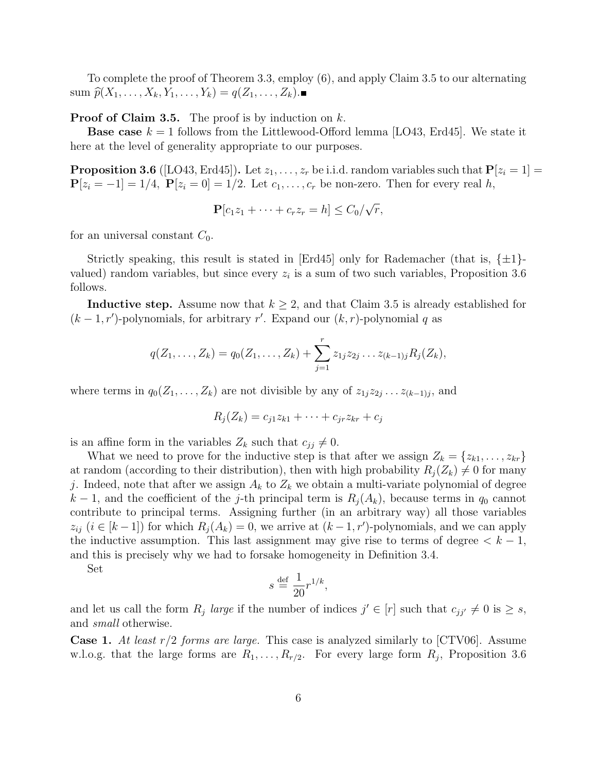To complete the proof of Theorem 3.3, employ (6), and apply Claim 3.5 to our alternating  $sum \ \widehat{p}(X_1, ..., X_k, Y_1, ..., Y_k) = q(Z_1, ..., Z_k)$ .

**Proof of Claim 3.5.** The proof is by induction on  $k$ .

**Base case**  $k = 1$  follows from the Littlewood-Offord lemma [LO43, Erd45]. We state it here at the level of generality appropriate to our purposes.

**Proposition 3.6** ([LO43, Erd45]). Let  $z_1, \ldots, z_r$  be i.i.d. random variables such that  $P[z_i = 1] =$  $\mathbf{P}[z_i = -1] = 1/4$ ,  $\mathbf{P}[z_i = 0] = 1/2$ . Let  $c_1, \ldots, c_r$  be non-zero. Then for every real h,

$$
\mathbf{P}[c_1z_1 + \cdots + c_rz_r = h] \leq C_0/\sqrt{r},
$$

for an universal constant  $C_0$ .

Strictly speaking, this result is stated in  $|Erd45|$  only for Rademacher (that is,  $\{\pm 1\}$ valued) random variables, but since every  $z_i$  is a sum of two such variables, Proposition 3.6 follows.

**Inductive step.** Assume now that  $k \geq 2$ , and that Claim 3.5 is already established for  $(k-1,r')$ -polynomials, for arbitrary r'. Expand our  $(k,r)$ -polynomial q as

$$
q(Z_1,\ldots,Z_k) = q_0(Z_1,\ldots,Z_k) + \sum_{j=1}^r z_{1j} z_{2j} \ldots z_{(k-1)j} R_j(Z_k),
$$

where terms in  $q_0(Z_1, \ldots, Z_k)$  are not divisible by any of  $z_{1j}z_{2j} \ldots z_{(k-1)j}$ , and

$$
R_j(Z_k) = c_{j1}z_{k1} + \cdots + c_{jr}z_{kr} + c_j
$$

is an affine form in the variables  $Z_k$  such that  $c_{jj} \neq 0$ .

What we need to prove for the inductive step is that after we assign  $Z_k = \{z_{k1}, \ldots, z_{kr}\}\$ at random (according to their distribution), then with high probability  $R_j(Z_k) \neq 0$  for many j. Indeed, note that after we assign  $A_k$  to  $Z_k$  we obtain a multi-variate polynomial of degree  $k-1$ , and the coefficient of the j-th principal term is  $R_i(A_k)$ , because terms in  $q_0$  cannot contribute to principal terms. Assigning further (in an arbitrary way) all those variables  $z_{ij}$   $(i \in [k-1])$  for which  $R_j(A_k) = 0$ , we arrive at  $(k-1, r')$ -polynomials, and we can apply the inductive assumption. This last assignment may give rise to terms of degree  $k - 1$ , and this is precisely why we had to forsake homogeneity in Definition 3.4.

Set

$$
s \stackrel{\text{def}}{=} \frac{1}{20} r^{1/k},
$$

and let us call the form  $R_j$  large if the number of indices  $j' \in [r]$  such that  $c_{jj'} \neq 0$  is  $\geq s$ , and small otherwise.

**Case 1.** At least  $r/2$  forms are large. This case is analyzed similarly to [CTV06]. Assume w.l.o.g. that the large forms are  $R_1, \ldots, R_{r/2}$ . For every large form  $R_j$ , Proposition 3.6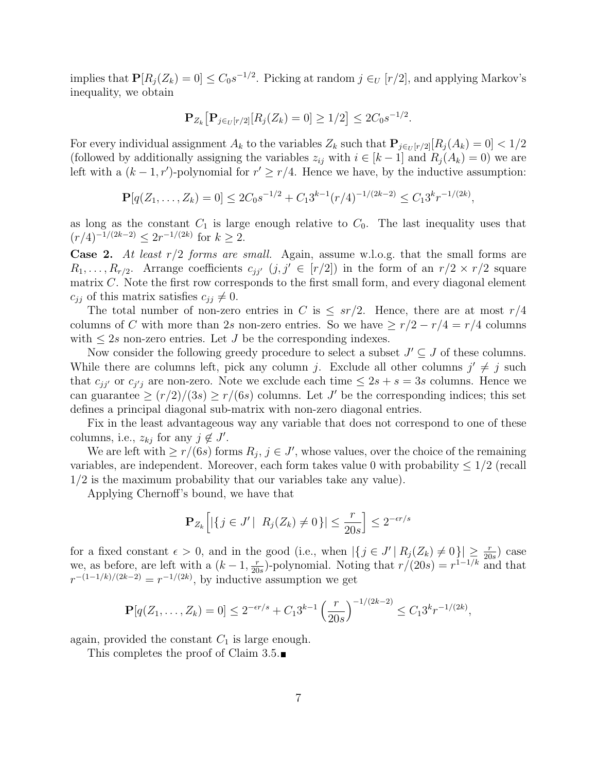implies that  $\mathbf{P}[R_j(Z_k) = 0] \leq C_0 s^{-1/2}$ . Picking at random  $j \in_U [r/2]$ , and applying Markov's inequality, we obtain

$$
\mathbf{P}_{Z_k} \big[ \mathbf{P}_{j \in U[r/2]} [R_j(Z_k) = 0] \ge 1/2 \big] \le 2C_0 s^{-1/2}.
$$

For every individual assignment  $A_k$  to the variables  $Z_k$  such that  $P_{j\in \mathcal{U}}[r/2][R_j(A_k) = 0] < 1/2$ (followed by additionally assigning the variables  $z_{ij}$  with  $i \in [k-1]$  and  $R_i(A_k) = 0$ ) we are left with a  $(k-1,r')$ -polynomial for  $r' \geq r/4$ . Hence we have, by the inductive assumption:

$$
\mathbf{P}[q(Z_1,\ldots,Z_k)=0] \le 2C_0s^{-1/2} + C_13^{k-1}(r/4)^{-1/(2k-2)} \le C_13^kr^{-1/(2k)},
$$

as long as the constant  $C_1$  is large enough relative to  $C_0$ . The last inequality uses that  $(r/4)^{-1/(2k-2)} \leq 2r^{-1/(2k)}$  for  $k \geq 2$ .

**Case 2.** At least  $r/2$  forms are small. Again, assume w.l.o.g. that the small forms are  $R_1, \ldots, R_{r/2}$ . Arrange coefficients  $c_{jj'}$   $(j, j' \in [r/2])$  in the form of an  $r/2 \times r/2$  square matrix C. Note the first row corresponds to the first small form, and every diagonal element  $c_{ij}$  of this matrix satisfies  $c_{ij} \neq 0$ .

The total number of non-zero entries in C is  $\leq sr/2$ . Hence, there are at most  $r/4$ columns of C with more than 2s non-zero entries. So we have  $\geq r/2 - r/4 = r/4$  columns with  $\leq 2s$  non-zero entries. Let J be the corresponding indexes.

Now consider the following greedy procedure to select a subset  $J' \subseteq J$  of these columns. While there are columns left, pick any column j. Exclude all other columns  $j' \neq j$  such that  $c_{jj'}$  or  $c_{j'j}$  are non-zero. Note we exclude each time  $\leq 2s + s = 3s$  columns. Hence we can guarantee  $\geq (r/2)/(3s) \geq r/(6s)$  columns. Let J' be the corresponding indices; this set defines a principal diagonal sub-matrix with non-zero diagonal entries.

Fix in the least advantageous way any variable that does not correspond to one of these columns, i.e.,  $z_{kj}$  for any  $j \notin J'$ .

We are left with  $\geq r/(6s)$  forms  $R_j$ ,  $j \in J'$ , whose values, over the choice of the remaining variables, are independent. Moreover, each form takes value 0 with probability  $\leq 1/2$  (recall 1/2 is the maximum probability that our variables take any value).

Applying Chernoff's bound, we have that

$$
\mathbf{P}_{Z_k}\Big[|\{j\in J' \,|\ \ R_j(Z_k)\neq 0\}|\leq \frac{r}{20s}\Big]\leq 2^{-\epsilon r/s}
$$

for a fixed constant  $\epsilon > 0$ , and in the good (i.e., when  $|\lbrace j \in J' | R_j(Z_k) \neq 0 \rbrace| \geq \frac{r}{20s}$ ) case we, as before, are left with a  $(k-1, \frac{r}{20})$  $\frac{r}{20s}$ )-polynomial. Noting that  $r/(20s) = r^{1-1/k}$  and that  $r^{-(1-1/k)/(2k-2)} = r^{-1/(2k)}$ , by inductive assumption we get

$$
\mathbf{P}[q(Z_1,\ldots,Z_k)=0] \le 2^{-\epsilon r/s} + C_1 3^{k-1} \left(\frac{r}{20s}\right)^{-1/(2k-2)} \le C_1 3^k r^{-1/(2k)},
$$

again, provided the constant  $C_1$  is large enough.

This completes the proof of Claim 3.5.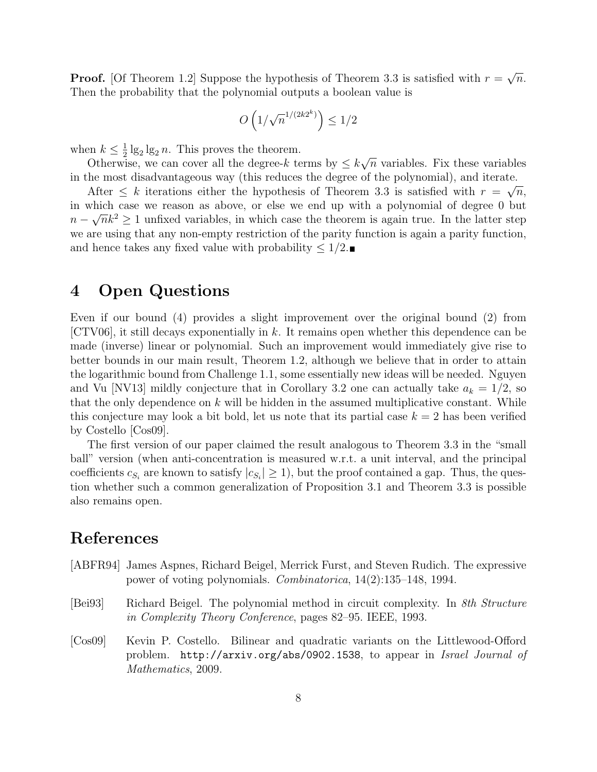**Proof.** [Of Theorem 1.2] Suppose the hypothesis of Theorem 3.3 is satisfied with  $r =$ √  $\overline{n}$ . Then the probability that the polynomial outputs a boolean value is

$$
O\left(1/\sqrt{n}^{1/(2k2^k)}\right) \le 1/2
$$

when  $k \leq \frac{1}{2}$  $\frac{1}{2}$  lg<sub>2</sub> lg<sub>2</sub> n. This proves the theorem.

Otherwise, we can cover all the degree-k terms by  $\leq k$ √  $\overline{n}$  variables. Fix these variables in the most disadvantageous way (this reduces the degree of the polynomial), and iterate. √

After  $\leq k$  iterations either the hypothesis of Theorem 3.3 is satisfied with  $r = \sqrt{n}$ , in which case we reason as above, or else we end up with a polynomial of degree 0 but  $n - \sqrt{n}k^2 \ge 1$  unfixed variables, in which case the theorem is again true. In the latter step we are using that any non-empty restriction of the parity function is again a parity function, and hence takes any fixed value with probability  $\leq 1/2$ .

### 4 Open Questions

Even if our bound (4) provides a slight improvement over the original bound (2) from  $[CTV06]$ , it still decays exponentially in k. It remains open whether this dependence can be made (inverse) linear or polynomial. Such an improvement would immediately give rise to better bounds in our main result, Theorem 1.2, although we believe that in order to attain the logarithmic bound from Challenge 1.1, some essentially new ideas will be needed. Nguyen and Vu [NV13] mildly conjecture that in Corollary 3.2 one can actually take  $a_k = 1/2$ , so that the only dependence on  $k$  will be hidden in the assumed multiplicative constant. While this conjecture may look a bit bold, let us note that its partial case  $k = 2$  has been verified by Costello [Cos09].

The first version of our paper claimed the result analogous to Theorem 3.3 in the "small ball" version (when anti-concentration is measured w.r.t. a unit interval, and the principal coefficients  $c_{S_i}$  are known to satisfy  $|c_{S_i}| \ge 1$ , but the proof contained a gap. Thus, the question whether such a common generalization of Proposition 3.1 and Theorem 3.3 is possible also remains open.

## References

- [ABFR94] James Aspnes, Richard Beigel, Merrick Furst, and Steven Rudich. The expressive power of voting polynomials. Combinatorica, 14(2):135–148, 1994.
- [Bei93] Richard Beigel. The polynomial method in circuit complexity. In *8th Structure* in Complexity Theory Conference, pages 82–95. IEEE, 1993.
- [Cos09] Kevin P. Costello. Bilinear and quadratic variants on the Littlewood-Offord problem. http://arxiv.org/abs/0902.1538, to appear in Israel Journal of Mathematics, 2009.